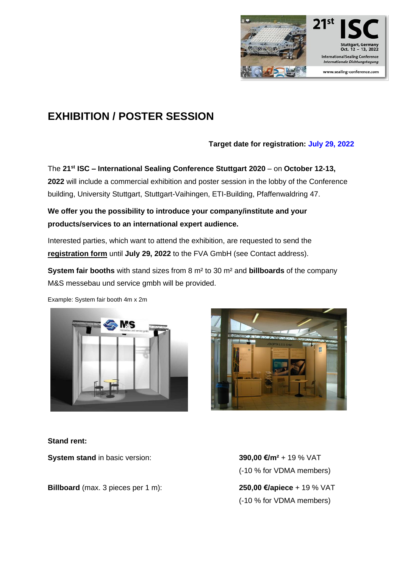

# **EXHIBITION / POSTER SESSION**

## **Target date for registration: July 29, 2022**

The **21 st ISC – International Sealing Conference Stuttgart 2020** – on **October 12-13, 2022** will include a commercial exhibition and poster session in the lobby of the Conference building, University Stuttgart, Stuttgart-Vaihingen, ETI-Building, Pfaffenwaldring 47.

# **We offer you the possibility to introduce your company/institute and your products/services to an international expert audience.**

Interested parties, which want to attend the exhibition, are requested to send the **registration form** until **July 29, 2022** to the FVA GmbH (see Contact address).

**System fair booths** with stand sizes from 8 m² to 30 m² and **billboards** of the company M&S messebau und service gmbh will be provided.

Example: System fair booth 4m x 2m





### **Stand rent:**

**System stand** in basic version: **390,00 €/m<sup>2</sup> + 19 % VAT** 

**Billboard** (max. 3 pieces per 1 m): **250,00 €/apiece** + 19 % VAT

(-10 % for VDMA members)

(-10 % for VDMA members)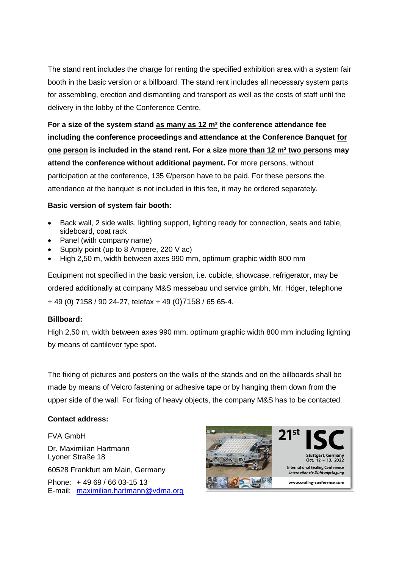The stand rent includes the charge for renting the specified exhibition area with a system fair booth in the basic version or a billboard. The stand rent includes all necessary system parts for assembling, erection and dismantling and transport as well as the costs of staff until the delivery in the lobby of the Conference Centre.

**For a size of the system stand as many as 12 m² the conference attendance fee including the conference proceedings and attendance at the Conference Banquet for one person is included in the stand rent. For a size more than 12 m² two persons may attend the conference without additional payment.** For more persons, without participation at the conference, 135 €/person have to be paid. For these persons the attendance at the banquet is not included in this fee, it may be ordered separately.

#### **Basic version of system fair booth:**

- Back wall, 2 side walls, lighting support, lighting ready for connection, seats and table, sideboard, coat rack
- Panel (with company name)
- Supply point (up to 8 Ampere, 220 V ac)
- High 2,50 m, width between axes 990 mm, optimum graphic width 800 mm

Equipment not specified in the basic version, i.e. cubicle, showcase, refrigerator, may be ordered additionally at company M&S messebau und service gmbh, Mr. Höger, telephone + 49 (0) 7158 / 90 24-27, telefax + 49 (0)7158 / 65 65-4.

#### **Billboard:**

High 2,50 m, width between axes 990 mm, optimum graphic width 800 mm including lighting by means of cantilever type spot.

The fixing of pictures and posters on the walls of the stands and on the billboards shall be made by means of Velcro fastening or adhesive tape or by hanging them down from the upper side of the wall. For fixing of heavy objects, the company M&S has to be contacted.

#### **Contact address:**

FVA GmbH Dr. Maximilian Hartmann Lyoner Straße 18 60528 Frankfurt am Main, Germany Phone: + 49 69 / 66 03-15 13 E-mail: [maximilian.hartmann@vdma.org](mailto:maximilian.hartmann@vdma.org)



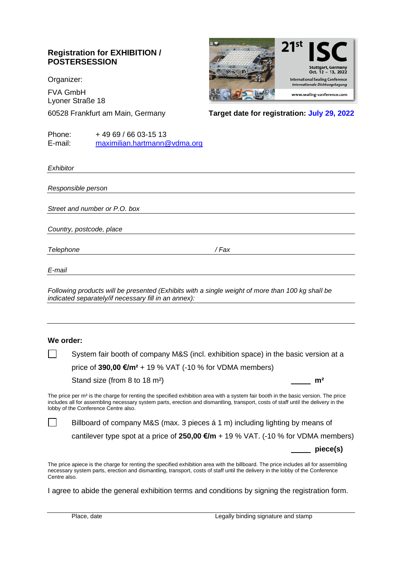## **Registration for EXHIBITION / POSTERSESSION**

Organizer:

FVA GmbH Lyoner Straße 18



60528 Frankfurt am Main, Germany **Target date for registration: July 29, 2022**

Phone: + 49 69 / 66 03-15 13 E-mail: [maximilian.hartmann@vdma.org](mailto:maximilian.hartmann@vdma.org)

*Exhibitor*

*Responsible person*

*Street and number or P.O. box*

*Country, postcode, place*

*Telephone / Fax*

*E-mail*

*Following products will be presented (Exhibits with a single weight of more than 100 kg shall be indicated separately/if necessary fill in an annex):*

#### **We order:**

System fair booth of company M&S (incl. exhibition space) in the basic version at a price of **390,00 €/m²** + 19 % VAT (-10 % for VDMA members)

Stand size (from 8 to 18 m<sup>2</sup>) **m<sup>2</sup>** 

**piece(s)**

The price per m<sup>2</sup> is the charge for renting the specified exhibition area with a system fair booth in the basic version. The price includes all for assembling necessary system parts, erection and dismantling, transport, costs of staff until the delivery in the lobby of the Conference Centre also.

Billboard of company M&S (max. 3 pieces á 1 m) including lighting by means of cantilever type spot at a price of **250,00 €/m** + 19 % VAT. (-10 % for VDMA members)

The price apiece is the charge for renting the specified exhibition area with the billboard. The price includes all for assembling necessary system parts, erection and dismantling, transport, costs of staff until the delivery in the lobby of the Conference Centre also.

I agree to abide the general exhibition terms and conditions by signing the registration form.